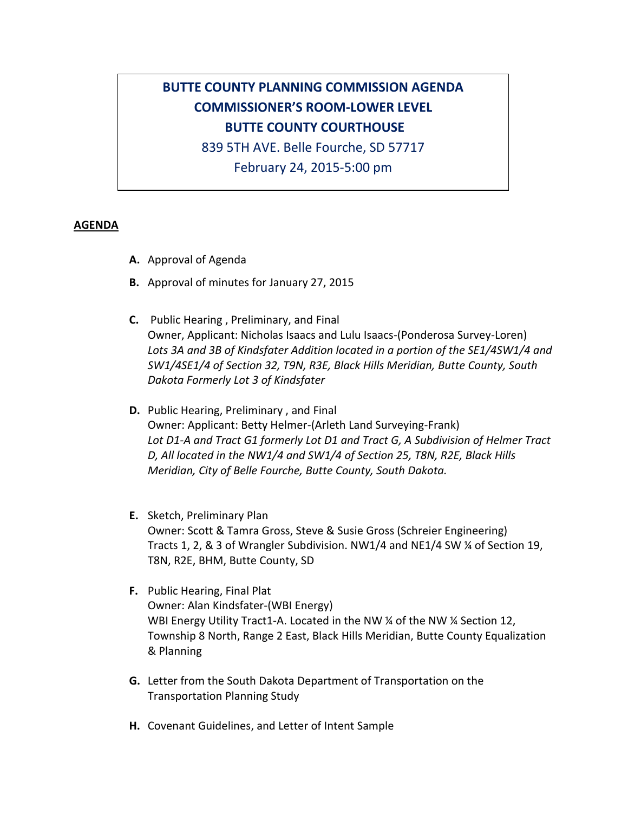## **BUTTE COUNTY PLANNING COMMISSION AGENDA COMMISSIONER'S ROOM-LOWER LEVEL BUTTE COUNTY COURTHOUSE**

839 5TH AVE. Belle Fourche, SD 57717

February 24, 2015-5:00 pm

## **AGENDA**

- **A.** Approval of Agenda
- **B.** Approval of minutes for January 27, 2015
- **C.** Public Hearing , Preliminary, and Final Owner, Applicant: Nicholas Isaacs and Lulu Isaacs-(Ponderosa Survey-Loren) *Lots 3A and 3B of Kindsfater Addition located in a portion of the SE1/4SW1/4 and SW1/4SE1/4 of Section 32, T9N, R3E, Black Hills Meridian, Butte County, South Dakota Formerly Lot 3 of Kindsfater*
- **D.** Public Hearing, Preliminary , and Final Owner: Applicant: Betty Helmer-(Arleth Land Surveying-Frank) *Lot D1-A and Tract G1 formerly Lot D1 and Tract G, A Subdivision of Helmer Tract D, All located in the NW1/4 and SW1/4 of Section 25, T8N, R2E, Black Hills Meridian, City of Belle Fourche, Butte County, South Dakota.*
- **E.** Sketch, Preliminary Plan Owner: Scott & Tamra Gross, Steve & Susie Gross (Schreier Engineering) Tracts 1, 2, & 3 of Wrangler Subdivision. NW1/4 and NE1/4 SW ¼ of Section 19, T8N, R2E, BHM, Butte County, SD
- **F.** Public Hearing, Final Plat Owner: Alan Kindsfater-(WBI Energy) WBI Energy Utility Tract1-A. Located in the NW % of the NW % Section 12, Township 8 North, Range 2 East, Black Hills Meridian, Butte County Equalization & Planning
- **G.** Letter from the South Dakota Department of Transportation on the Transportation Planning Study
- **H.** Covenant Guidelines, and Letter of Intent Sample